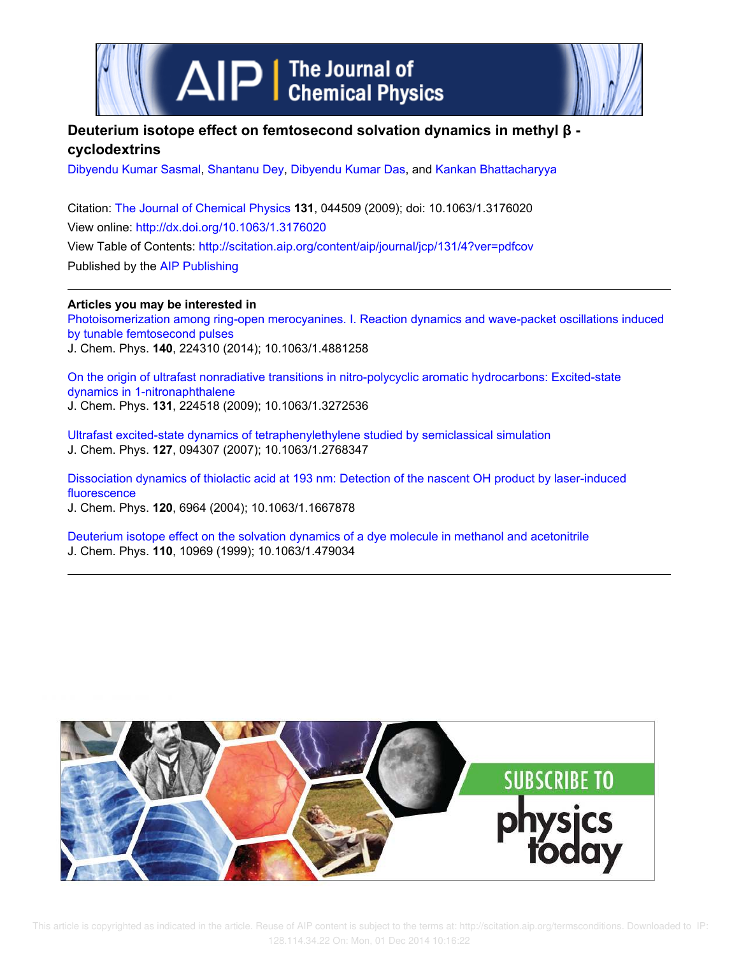

# **Deuterium isotope effect on femtosecond solvation dynamics in methyl β cyclodextrins**

Dibyendu Kumar Sasmal, Shantanu Dey, Dibyendu Kumar Das, and Kankan Bhattacharyya

Citation: The Journal of Chemical Physics **131**, 044509 (2009); doi: 10.1063/1.3176020 View online: http://dx.doi.org/10.1063/1.3176020 View Table of Contents: http://scitation.aip.org/content/aip/journal/jcp/131/4?ver=pdfcov Published by the AIP Publishing

**Articles you may be interested in**

Photoisomerization among ring-open merocyanines. I. Reaction dynamics and wave-packet oscillations induced by tunable femtosecond pulses J. Chem. Phys. **140**, 224310 (2014); 10.1063/1.4881258

On the origin of ultrafast nonradiative transitions in nitro-polycyclic aromatic hydrocarbons: Excited-state dynamics in 1-nitronaphthalene J. Chem. Phys. **131**, 224518 (2009); 10.1063/1.3272536

Ultrafast excited-state dynamics of tetraphenylethylene studied by semiclassical simulation J. Chem. Phys. **127**, 094307 (2007); 10.1063/1.2768347

Dissociation dynamics of thiolactic acid at 193 nm: Detection of the nascent OH product by laser-induced fluorescence

J. Chem. Phys. **120**, 6964 (2004); 10.1063/1.1667878

Deuterium isotope effect on the solvation dynamics of a dye molecule in methanol and acetonitrile J. Chem. Phys. **110**, 10969 (1999); 10.1063/1.479034

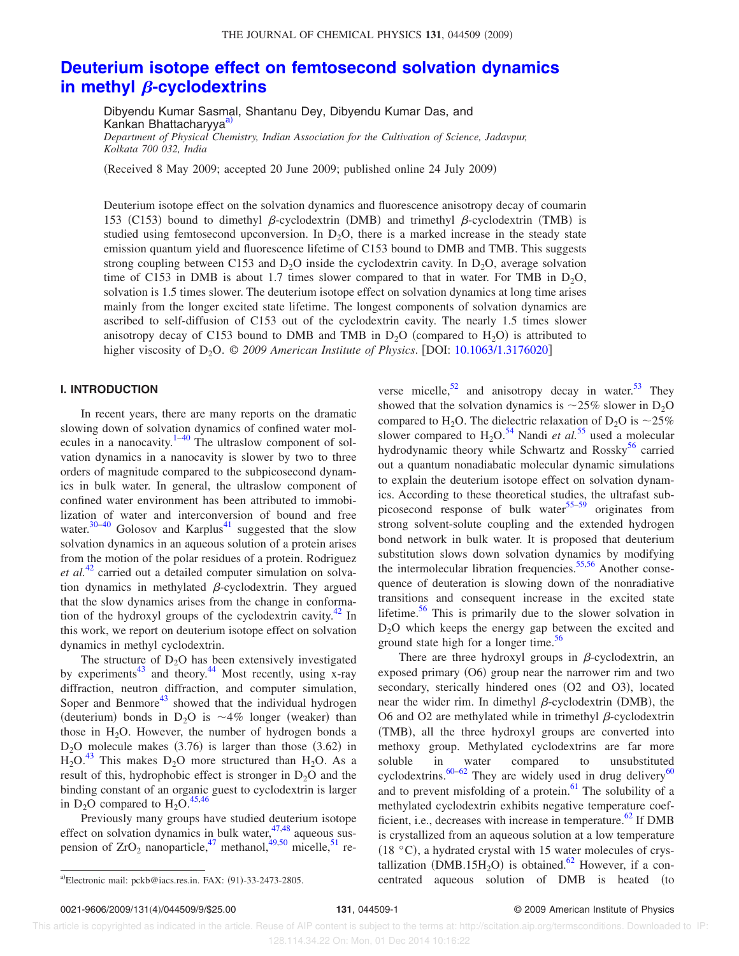## **Deuterium isotope effect on femtosecond solvation dynamics** in methyl  $\beta$ -cyclodextrins

Dibyendu Kumar Sasmal, Shantanu Dey, Dibyendu Kumar Das, and Kankan Bhattacharyya<sup>a)</sup> *Department of Physical Chemistry, Indian Association for the Cultivation of Science, Jadavpur, Kolkata 700 032, India*

Received 8 May 2009; accepted 20 June 2009; published online 24 July 2009-

Deuterium isotope effect on the solvation dynamics and fluorescence anisotropy decay of coumarin 153 (C153) bound to dimethyl  $\beta$ -cyclodextrin (DMB) and trimethyl  $\beta$ -cyclodextrin (TMB) is studied using femtosecond upconversion. In  $D_2O$ , there is a marked increase in the steady state emission quantum yield and fluorescence lifetime of C153 bound to DMB and TMB. This suggests strong coupling between C153 and  $D_2O$  inside the cyclodextrin cavity. In  $D_2O$ , average solvation time of C153 in DMB is about 1.7 times slower compared to that in water. For TMB in  $D_2O$ , solvation is 1.5 times slower. The deuterium isotope effect on solvation dynamics at long time arises mainly from the longer excited state lifetime. The longest components of solvation dynamics are ascribed to self-diffusion of C153 out of the cyclodextrin cavity. The nearly 1.5 times slower anisotropy decay of C153 bound to DMB and TMB in  $D_2O$  (compared to  $H_2O$ ) is attributed to higher viscosity of D<sub>2</sub>O. © 2009 American Institute of Physics. [DOI: 10.1063/1.3176020]

#### **I. INTRODUCTION**

In recent years, there are many reports on the dramatic slowing down of solvation dynamics of confined water molecules in a nanocavity. $1-40$  The ultraslow component of solvation dynamics in a nanocavity is slower by two to three orders of magnitude compared to the subpicosecond dynamics in bulk water. In general, the ultraslow component of confined water environment has been attributed to immobilization of water and interconversion of bound and free water. $30-40$  Golosov and Karplus<sup>41</sup> suggested that the slow solvation dynamics in an aqueous solution of a protein arises from the motion of the polar residues of a protein. Rodriguez *et al.*<sup>42</sup> carried out a detailed computer simulation on solvation dynamics in methylated  $\beta$ -cyclodextrin. They argued that the slow dynamics arises from the change in conformation of the hydroxyl groups of the cyclodextrin cavity. $42 \text{ In}$ this work, we report on deuterium isotope effect on solvation dynamics in methyl cyclodextrin.

The structure of  $D_2O$  has been extensively investigated by experiments<sup>43</sup> and theory.<sup>44</sup> Most recently, using x-ray diffraction, neutron diffraction, and computer simulation, Soper and Benmore<sup>43</sup> showed that the individual hydrogen (deuterium) bonds in  $D_2O$  is  $\sim 4\%$  longer (weaker) than those in  $H_2O$ . However, the number of hydrogen bonds a  $D_2O$  molecule makes (3.76) is larger than those (3.62) in  $H_2O^{43}$  This makes  $D_2O$  more structured than  $H_2O$ . As a result of this, hydrophobic effect is stronger in  $D_2O$  and the binding constant of an organic guest to cyclodextrin is larger in D<sub>2</sub>O compared to  $H_2O$ .<sup>45,46</sup>

Previously many groups have studied deuterium isotope effect on solvation dynamics in bulk water,  $47,48$  aqueous suspension of  $ZrO_2$  nanoparticle,<sup>47</sup> methanol,<sup>49,50</sup> micelle,<sup>51</sup> re-

Electronic mail: pckb@iacs.res.in. FAX: (91)-33-2473-2805.

verse micelle,  $52$  and anisotropy decay in water.  $53$  They showed that the solvation dynamics is  $\sim$ 25% slower in D<sub>2</sub>O compared to H<sub>2</sub>O. The dielectric relaxation of  $D_2O$  is  $\sim$ 25% slower compared to  $H_2O^{54}$  Nandi *et al.*<sup>55</sup> used a molecular hydrodynamic theory while Schwartz and Rossky<sup>56</sup> carried out a quantum nonadiabatic molecular dynamic simulations to explain the deuterium isotope effect on solvation dynamics. According to these theoretical studies, the ultrafast subpicosecond response of bulk water $55-59$  originates from strong solvent-solute coupling and the extended hydrogen bond network in bulk water. It is proposed that deuterium substitution slows down solvation dynamics by modifying the intermolecular libration frequencies.<sup>55,56</sup> Another consequence of deuteration is slowing down of the nonradiative transitions and consequent increase in the excited state lifetime. $56$  This is primarily due to the slower solvation in D2O which keeps the energy gap between the excited and ground state high for a longer time. $56$ 

There are three hydroxyl groups in  $\beta$ -cyclodextrin, an exposed primary (O6) group near the narrower rim and two secondary, sterically hindered ones (O2 and O3), located near the wider rim. In dimethyl  $\beta$ -cyclodextrin (DMB), the O6 and O2 are methylated while in trimethyl  $\beta$ -cyclodextrin (TMB), all the three hydroxyl groups are converted into methoxy group. Methylated cyclodextrins are far more soluble in water compared to unsubstituted cyclodextrins.<sup>60–62</sup> They are widely used in drug delivery<sup>60</sup> and to prevent misfolding of a protein. $61$  The solubility of a methylated cyclodextrin exhibits negative temperature coefficient, i.e., decreases with increase in temperature. $62$  If DMB is crystallized from an aqueous solution at a low temperature  $(18 °C)$ , a hydrated crystal with 15 water molecules of crystallization (DMB.15H<sub>2</sub>O) is obtained.<sup>62</sup> However, if a concentrated aqueous solution of DMB is heated (to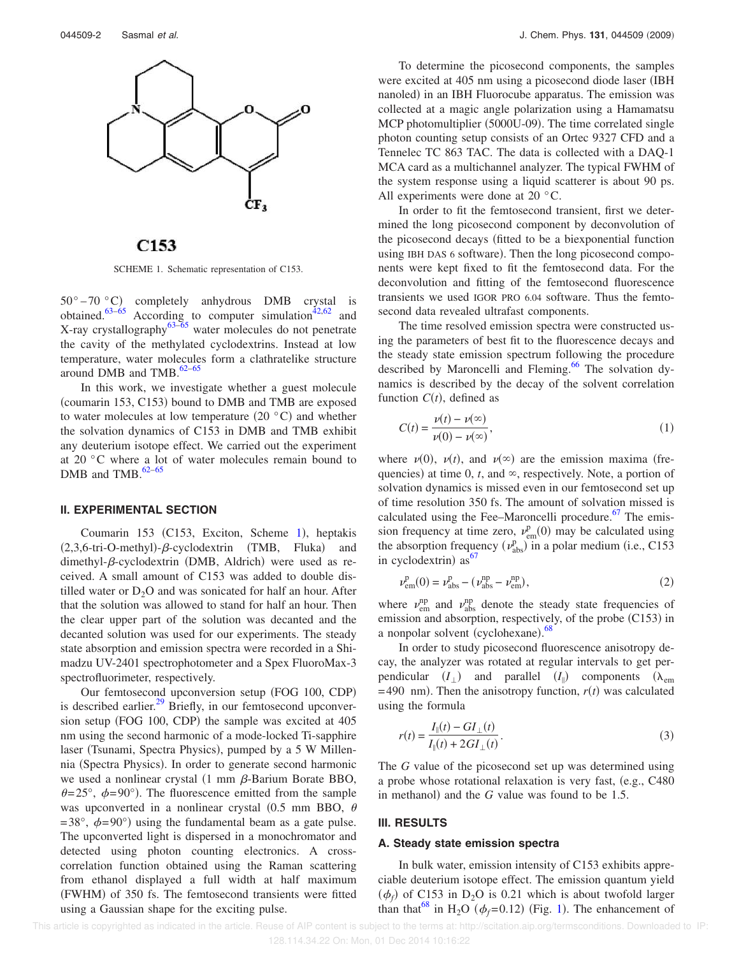

C<sub>153</sub>

SCHEME 1. Schematic representation of C153.

 $50^{\circ} - 70^{\circ}$ C) completely anhydrous DMB crystal is obtained.<sup>63–65</sup> According to computer simulation<sup> $42,62$ </sup> and X-ray crystallography<sup>63–65</sup> water molecules do not penetrate the cavity of the methylated cyclodextrins. Instead at low temperature, water molecules form a clathratelike structure around DMB and TMB. $62-65$ 

In this work, we investigate whether a guest molecule (coumarin 153, C153) bound to DMB and TMB are exposed to water molecules at low temperature  $(20 °C)$  and whether the solvation dynamics of C153 in DMB and TMB exhibit any deuterium isotope effect. We carried out the experiment at 20 °C where a lot of water molecules remain bound to DMB and TMB.<sup>62-65</sup>

#### **II. EXPERIMENTAL SECTION**

Coumarin 153 (C153, Exciton, Scheme 1), heptakis  $(2,3,6$ -tri-O-methyl)- $\beta$ -cyclodextrin (TMB, Fluka) and  $d$ imethyl- $\beta$ -cyclodextrin (DMB, Aldrich) were used as received. A small amount of C153 was added to double distilled water or  $D_2O$  and was sonicated for half an hour. After that the solution was allowed to stand for half an hour. Then the clear upper part of the solution was decanted and the decanted solution was used for our experiments. The steady state absorption and emission spectra were recorded in a Shimadzu UV-2401 spectrophotometer and a Spex FluoroMax-3 spectrofluorimeter, respectively.

Our femtosecond upconversion setup (FOG 100, CDP) is described earlier. $^{29}$  Briefly, in our femtosecond upconversion setup (FOG 100, CDP) the sample was excited at 405 nm using the second harmonic of a mode-locked Ti-sapphire laser (Tsunami, Spectra Physics), pumped by a 5 W Millennia (Spectra Physics). In order to generate second harmonic we used a nonlinear crystal  $(1 \text{ mm } \beta$ -Barium Borate BBO,  $\theta = 25^{\circ}$ ,  $\phi = 90^{\circ}$ ). The fluorescence emitted from the sample was upconverted in a nonlinear crystal (0.5 mm BBO,  $\theta$  $=38^{\circ}$ ,  $\phi = 90^{\circ}$ ) using the fundamental beam as a gate pulse. The upconverted light is dispersed in a monochromator and detected using photon counting electronics. A crosscorrelation function obtained using the Raman scattering from ethanol displayed a full width at half maximum (FWHM) of 350 fs. The femtosecond transients were fitted using a Gaussian shape for the exciting pulse.

To determine the picosecond components, the samples were excited at 405 nm using a picosecond diode laser (IBH nanoled) in an IBH Fluorocube apparatus. The emission was collected at a magic angle polarization using a Hamamatsu MCP photomultiplier (5000U-09). The time correlated single photon counting setup consists of an Ortec 9327 CFD and a Tennelec TC 863 TAC. The data is collected with a DAQ-1 MCA card as a multichannel analyzer. The typical FWHM of the system response using a liquid scatterer is about 90 ps. All experiments were done at 20 °C.

In order to fit the femtosecond transient, first we determined the long picosecond component by deconvolution of the picosecond decays fitted to be a biexponential function using IBH DAS 6 software). Then the long picosecond components were kept fixed to fit the femtosecond data. For the deconvolution and fitting of the femtosecond fluorescence transients we used IGOR PRO 6.04 software. Thus the femtosecond data revealed ultrafast components.

The time resolved emission spectra were constructed using the parameters of best fit to the fluorescence decays and the steady state emission spectrum following the procedure described by Maroncelli and Fleming.<sup>66</sup> The solvation dynamics is described by the decay of the solvent correlation function  $C(t)$ , defined as

$$
C(t) = \frac{\nu(t) - \nu(\infty)}{\nu(0) - \nu(\infty)},
$$
\n(1)

where  $\nu(0)$ ,  $\nu(t)$ , and  $\nu(\infty)$  are the emission maxima (frequencies) at time 0,  $t$ , and  $\infty$ , respectively. Note, a portion of solvation dynamics is missed even in our femtosecond set up of time resolution 350 fs. The amount of solvation missed is calculated using the Fee–Maroncelli procedure. $67$  The emission frequency at time zero,  $v_{em}^{p}(0)$  may be calculated using the absorption frequency  $(\nu_{\text{abs}}^{\text{p}})$  in a polar medium (i.e., C153 in cyclodextrin)  $as^{67}$ 

$$
\nu_{\rm em}^{\rm p}(0) = \nu_{\rm abs}^{\rm p} - (\nu_{\rm abs}^{\rm np} - \nu_{\rm em}^{\rm np}),\tag{2}
$$

where  $v_{em}^{np}$  and  $v_{abs}^{np}$  denote the steady state frequencies of emission and absorption, respectively, of the probe (C153) in a nonpolar solvent (cyclohexane).<sup>68</sup>

In order to study picosecond fluorescence anisotropy decay, the analyzer was rotated at regular intervals to get perpendicular  $(I_{\perp})$  and parallel  $(I_{\parallel})$  components  $(\lambda_{em})$  $=$  490 nm). Then the anisotropy function,  $r(t)$  was calculated using the formula

$$
r(t) = \frac{I_{\parallel}(t) - GI_{\perp}(t)}{I_{\parallel}(t) + 2GI_{\perp}(t)}.
$$
\n(3)

The *G* value of the picosecond set up was determined using a probe whose rotational relaxation is very fast, (e.g., C480) in methanol) and the  $G$  value was found to be 1.5.

#### **III. RESULTS**

#### **A. Steady state emission spectra**

In bulk water, emission intensity of C153 exhibits appreciable deuterium isotope effect. The emission quantum yield  $(\phi_f)$  of C153 in D<sub>2</sub>O is 0.21 which is about twofold larger than that<sup>68</sup> in H<sub>2</sub>O  $(\phi_f=0.12)$  (Fig. 1). The enhancement of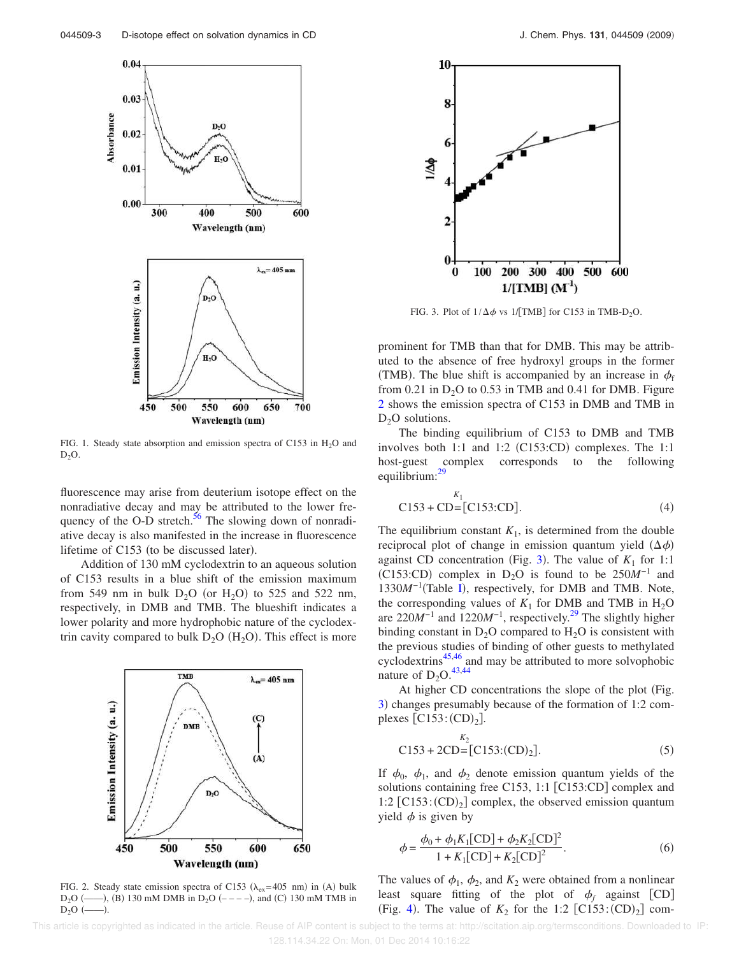

FIG. 1. Steady state absorption and emission spectra of C153 in  $H_2O$  and  $D_2O$ .

fluorescence may arise from deuterium isotope effect on the nonradiative decay and may be attributed to the lower frequency of the O-D stretch. $56$  The slowing down of nonradiative decay is also manifested in the increase in fluorescence lifetime of  $C153$  (to be discussed later).

Addition of 130 mM cyclodextrin to an aqueous solution of C153 results in a blue shift of the emission maximum from 549 nm in bulk  $D_2O$  (or  $H_2O$ ) to 525 and 522 nm, respectively, in DMB and TMB. The blueshift indicates a lower polarity and more hydrophobic nature of the cyclodextrin cavity compared to bulk  $D_2O(H_2O)$ . This effect is more



FIG. 2. Steady state emission spectra of C153 ( $\lambda_{ex}$ =405 nm) in (A) bulk  $D_2O$  (---), (B) 130 mM DMB in  $D_2O$  (----), and (C) 130 mM TMB in  $D<sub>2</sub>O$  (– .



FIG. 3. Plot of  $1/\Delta\phi$  vs 1/[TMB] for C153 in TMB-D<sub>2</sub>O.

prominent for TMB than that for DMB. This may be attributed to the absence of free hydroxyl groups in the former (TMB). The blue shift is accompanied by an increase in  $\phi_f$ from 0.21 in  $D_2O$  to 0.53 in TMB and 0.41 for DMB. Figure 2 shows the emission spectra of C153 in DMB and TMB in  $D_2O$  solutions.

The binding equilibrium of C153 to DMB and TMB involves both  $1:1$  and  $1:2$  (C153:CD) complexes. The  $1:1$ host-guest complex corresponds to the following equilibrium:<sup>29</sup>

$$
C153 + CD = [C153:CD]. \t(4)
$$

The equilibrium constant  $K_1$ , is determined from the double reciprocal plot of change in emission quantum yield  $(\Delta \phi)$ against CD concentration (Fig. 3). The value of  $K_1$  for 1:1  $(C153:CD)$  complex in D<sub>2</sub>O is found to be 250*M*<sup>-1</sup> and 1330*M*<sup>-1</sup>(Table I), respectively, for DMB and TMB. Note, the corresponding values of  $K_1$  for DMB and TMB in  $H_2O$ are 220*M*−1 and 1220*M*−1, respectively.<sup>29</sup> The slightly higher binding constant in  $D_2O$  compared to  $H_2O$  is consistent with the previous studies of binding of other guests to methylated  $cyclod$ extrins $45,46$  and may be attributed to more solvophobic nature of  $D_2O$ .<sup>43,44</sup>

At higher CD concentrations the slope of the plot (Fig. 3) changes presumably because of the formation of 1:2 complexes  $[C153:(CD)<sub>2</sub>]$ .

 $K<sub>2</sub>$ 

$$
C153 + 2CD = [C153:(CD)_2].
$$
 (5)

If  $\phi_0$ ,  $\phi_1$ , and  $\phi_2$  denote emission quantum yields of the solutions containing free C153, 1:1 [C153:CD] complex and 1:2  $[C153:(CD)<sub>2</sub>]$  complex, the observed emission quantum yield  $\phi$  is given by

$$
\phi = \frac{\phi_0 + \phi_1 K_1 [CD] + \phi_2 K_2 [CD]^2}{1 + K_1 [CD] + K_2 [CD]^2}.
$$
\n(6)

The values of  $\phi_1$ ,  $\phi_2$ , and  $K_2$  were obtained from a nonlinear least square fitting of the plot of  $\phi_f$  against [CD] (Fig. 4). The value of  $K_2$  for the 1:2  $\left[$ C153: $\left($ CD $\right)_2\right]$  com-

 This article is copyrighted as indicated in the article. Reuse of AIP content is subject to the terms at: http://scitation.aip.org/termsconditions. Downloaded to IP: 128.114.34.22 On: Mon, 01 Dec 2014 10:16:22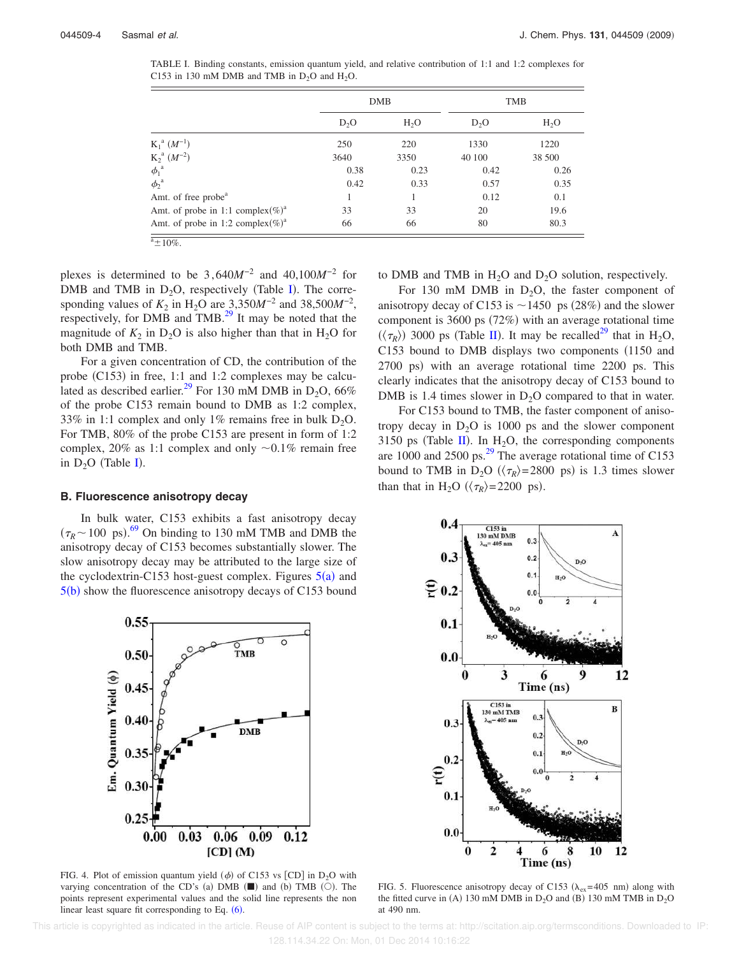TABLE I. Binding constants, emission quantum yield, and relative contribution of 1:1 and 1:2 complexes for C153 in 130 mM DMB and TMB in  $D_2O$  and  $H_2O$ .

|                                              |                  | <b>DMB</b>       | <b>TMB</b>       |                  |
|----------------------------------------------|------------------|------------------|------------------|------------------|
|                                              | D <sub>2</sub> O | H <sub>2</sub> O | D <sub>2</sub> O | H <sub>2</sub> O |
| $K_1^a (M^{-1})$                             | 250              | 220              | 1330             | 1220             |
| $K_2^a (M^{-2})$                             | 3640             | 3350             | 40 100           | 38 500           |
| $\phi_1^{\ a}$                               | 0.38             | 0.23             | 0.42             | 0.26             |
| $\phi_2^{\ a}$                               | 0.42             | 0.33             | 0.57             | 0.35             |
| Amt. of free probe <sup>a</sup>              |                  |                  | 0.12             | 0.1              |
| Amt. of probe in 1:1 complex(%) <sup>a</sup> | 33               | 33               | 20               | 19.6             |
| Amt. of probe in 1:2 complex(%) <sup>a</sup> | 66               | 66               | 80               | 80.3             |

plexes is determined to be 3,640*M*−2 and 40,100*M*−2 for DMB and TMB in  $D_2O$ , respectively (Table I). The corresponding values of  $K_2$  in H<sub>2</sub>O are 3,350*M*<sup>-2</sup> and 38,500*M*<sup>-2</sup>, respectively, for DMB and TMB.<sup>29</sup> It may be noted that the magnitude of  $K_2$  in D<sub>2</sub>O is also higher than that in H<sub>2</sub>O for both DMB and TMB.

For a given concentration of CD, the contribution of the probe  $(C153)$  in free, 1:1 and 1:2 complexes may be calculated as described earlier.<sup>29</sup> For 130 mM DMB in  $D_2O$ , 66% of the probe C153 remain bound to DMB as 1:2 complex, 33% in 1:1 complex and only 1% remains free in bulk  $D_2O$ . For TMB, 80% of the probe C153 are present in form of 1:2 complex, 20% as 1:1 complex and only  $\sim 0.1\%$  remain free in  $D_2O$  (Table I).

#### **B. Fluorescence anisotropy decay**

In bulk water, C153 exhibits a fast anisotropy decay  $(\tau_R \sim 100 \text{ ps})$ .<sup>69</sup> On binding to 130 mM TMB and DMB the anisotropy decay of C153 becomes substantially slower. The slow anisotropy decay may be attributed to the large size of the cyclodextrin-C153 host-guest complex. Figures  $5(a)$  and  $5(b)$  show the fluorescence anisotropy decays of C153 bound



FIG. 4. Plot of emission quantum yield  $(\phi)$  of C153 vs [CD] in D<sub>2</sub>O with varying concentration of the CD's (a) DMB  $(\blacksquare)$  and (b) TMB  $(\bigcirc)$ . The points represent experimental values and the solid line represents the non linear least square fit corresponding to Eq.  $(6)$ .

to DMB and TMB in  $H_2O$  and  $D_2O$  solution, respectively.

For 130 mM DMB in  $D_2O$ , the faster component of anisotropy decay of C153 is  $\sim$  1450 ps (28%) and the slower component is  $3600 \text{ ps } (72\%)$  with an average rotational time  $(\langle \tau_R \rangle)$  3000 ps (Table II). It may be recalled<sup>29</sup> that in H<sub>2</sub>O, C153 bound to DMB displays two components (1150 and 2700 ps) with an average rotational time 2200 ps. This clearly indicates that the anisotropy decay of C153 bound to DMB is 1.4 times slower in  $D_2O$  compared to that in water.

For C153 bound to TMB, the faster component of anisotropy decay in  $D_2O$  is 1000 ps and the slower component 3150 ps (Table II). In  $H_2O$ , the corresponding components are 1000 and 2500 ps.<sup>29</sup> The average rotational time of C153 bound to TMB in  $D_2O$  ( $\langle \tau_R \rangle = 2800$  ps) is 1.3 times slower than that in H<sub>2</sub>O ( $\langle \tau_R \rangle$ =2200 ps).



FIG. 5. Fluorescence anisotropy decay of C153 ( $\lambda_{ex}$ =405 nm) along with the fitted curve in (A) 130 mM DMB in  $D_2O$  and (B) 130 mM TMB in  $D_2O$ at 490 nm.

 This article is copyrighted as indicated in the article. Reuse of AIP content is subject to the terms at: http://scitation.aip.org/termsconditions. Downloaded to IP: 128.114.34.22 On: Mon, 01 Dec 2014 10:16:22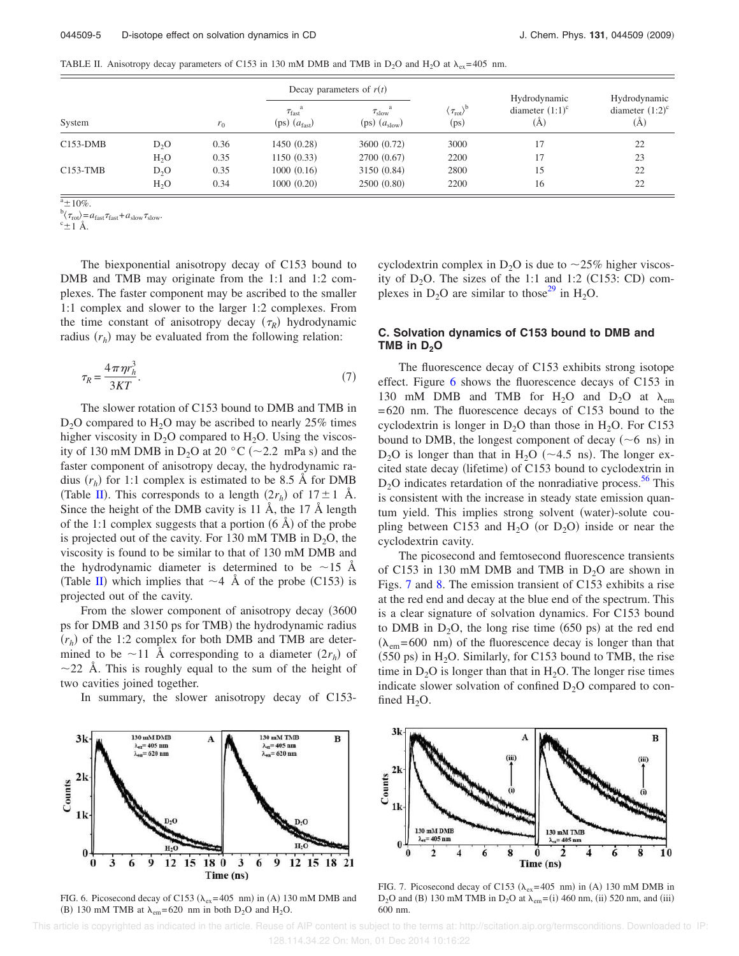TABLE II. Anisotropy decay parameters of C153 in 130 mM DMB and TMB in D<sub>2</sub>O and H<sub>2</sub>O at  $\lambda_{ex}$  =405 nm.

|            |                  |       | Decay parameters of $r(t)$               |                                      |                                                            |                                           |                                           |
|------------|------------------|-------|------------------------------------------|--------------------------------------|------------------------------------------------------------|-------------------------------------------|-------------------------------------------|
| System     |                  | $r_0$ | $\tau_{\text{fast}}$<br>$(ps)$ $(afast)$ | $\tau_{slow}$<br>$(ps)$ $(a_{slow})$ | $\left(\tau_{\rm rot}\right)^{\rm b}$<br>(p <sub>S</sub> ) | Hydrodynamic<br>diameter $(1:1)^c$<br>(A) | Hydrodynamic<br>diameter $(1:2)^c$<br>(Ă) |
| $C153-DMB$ | D <sub>2</sub> O | 0.36  | 1450(0.28)                               | 3600 (0.72)                          | 3000                                                       |                                           | 22                                        |
|            | $H_2O$           | 0.35  | 1150(0.33)                               | 2700 (0.67)                          | 2200                                                       | 17                                        | 23                                        |
| $C153-TMB$ | D <sub>2</sub> O | 0.35  | 1000(0.16)                               | 3150 (0.84)                          | 2800                                                       | 15                                        | 22                                        |
|            | H <sub>2</sub> O | 0.34  | 1000(0.20)                               | 2500(0.80)                           | 2200                                                       | 16                                        | 22                                        |

 $a + 10\%$ .

 $\sigma_{\text{rot}} = a_{\text{fast}} \tau_{\text{fast}} + a_{\text{slow}} \tau_{\text{slow}}.$ 

 $\mathrm{c}_{\pm 1}$  Å.

The biexponential anisotropy decay of C153 bound to DMB and TMB may originate from the 1:1 and 1:2 complexes. The faster component may be ascribed to the smaller 1:1 complex and slower to the larger 1:2 complexes. From the time constant of anisotropy decay  $(\tau_R)$  hydrodynamic radius  $(r_h)$  may be evaluated from the following relation:

$$
\tau_R = \frac{4\pi\eta r_h^3}{3KT}.\tag{7}
$$

The slower rotation of C153 bound to DMB and TMB in  $D_2O$  compared to  $H_2O$  may be ascribed to nearly 25% times higher viscosity in  $D_2O$  compared to  $H_2O$ . Using the viscosity of 130 mM DMB in  $D_2O$  at 20 °C (~2.2 mPa s) and the faster component of anisotropy decay, the hydrodynamic radius  $(r_h)$  for 1:1 complex is estimated to be 8.5 Å for DMB (Table II). This corresponds to a length  $(2r_h)$  of  $17 \pm 1$  Å. Since the height of the DMB cavity is 11 Å, the 17 Å length of the 1:1 complex suggests that a portion  $(6 \text{ Å})$  of the probe is projected out of the cavity. For 130 mM TMB in  $D_2O$ , the viscosity is found to be similar to that of 130 mM DMB and the hydrodynamic diameter is determined to be  $\sim$ 15 Å (Table II) which implies that  $\sim$  4 Å of the probe (C153) is projected out of the cavity.

From the slower component of anisotropy decay (3600) ps for DMB and 3150 ps for TMB) the hydrodynamic radius  $(r_h)$  of the 1:2 complex for both DMB and TMB are determined to be  $\sim$ 11 Å corresponding to a diameter  $(2r_h)$  of  $\sim$ 22 Å. This is roughly equal to the sum of the height of two cavities joined together.

In summary, the slower anisotropy decay of C153-



FIG. 6. Picosecond decay of C153 ( $\lambda_{ex}$ =405 nm) in (A) 130 mM DMB and (B) 130 mM TMB at  $\lambda_{em}$ =620 nm in both D<sub>2</sub>O and H<sub>2</sub>O.

cyclodextrin complex in  $D_2O$  is due to  $\sim$ 25% higher viscosity of  $D_2O$ . The sizes of the 1:1 and 1:2 (C153: CD) complexes in  $D_2O$  are similar to those<sup>29</sup> in H<sub>2</sub>O.

### **C. Solvation dynamics of C153 bound to DMB and TMB in D2O**

The fluorescence decay of C153 exhibits strong isotope effect. Figure 6 shows the fluorescence decays of C153 in 130 mM DMB and TMB for H<sub>2</sub>O and D<sub>2</sub>O at  $\lambda_{em}$ =620 nm. The fluorescence decays of C153 bound to the cyclodextrin is longer in  $D_2O$  than those in  $H_2O$ . For C153 bound to DMB, the longest component of decay  $(\sim 6 \text{ ns})$  in  $D_2O$  is longer than that in H<sub>2</sub>O ( $\sim$  4.5 ns). The longer excited state decay (lifetime) of C153 bound to cyclodextrin in  $D_2O$  indicates retardation of the nonradiative process.<sup>56</sup> This is consistent with the increase in steady state emission quantum yield. This implies strong solvent (water)-solute coupling between C153 and  $H_2O$  (or  $D_2O$ ) inside or near the cyclodextrin cavity.

The picosecond and femtosecond fluorescence transients of C153 in 130 mM DMB and TMB in  $D_2O$  are shown in Figs. 7 and 8. The emission transient of C153 exhibits a rise at the red end and decay at the blue end of the spectrum. This is a clear signature of solvation dynamics. For C153 bound to DMB in  $D_2O$ , the long rise time (650 ps) at the red end  $(\lambda_{em} = 600 \text{ nm})$  of the fluorescence decay is longer than that  $(550 \text{ ps})$  in H<sub>2</sub>O. Similarly, for C153 bound to TMB, the rise time in  $D_2O$  is longer than that in  $H_2O$ . The longer rise times indicate slower solvation of confined  $D_2O$  compared to confined  $H_2O$ .



FIG. 7. Picosecond decay of C153 ( $\lambda_{ex}$ =405 nm) in (A) 130 mM DMB in  $D_2$ O and (B) 130 mM TMB in  $D_2$ O at  $\lambda_{em} = (i)$  460 nm, (ii) 520 nm, and (iii) 600 nm.

 This article is copyrighted as indicated in the article. Reuse of AIP content is subject to the terms at: http://scitation.aip.org/termsconditions. Downloaded to IP: 128.114.34.22 On: Mon, 01 Dec 2014 10:16:22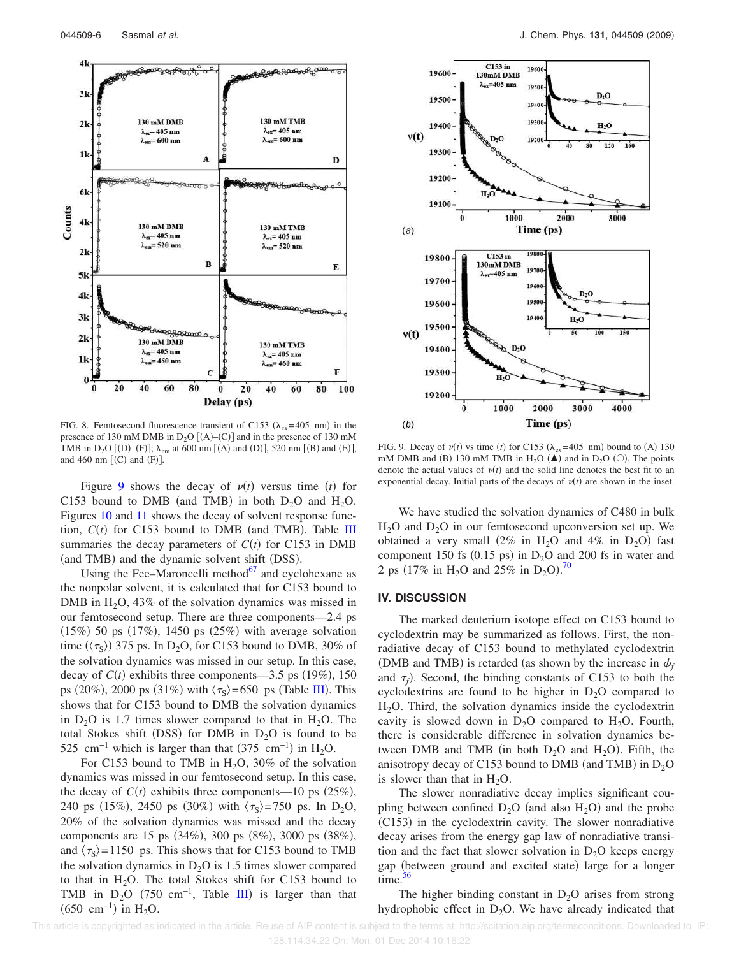

FIG. 8. Femtosecond fluorescence transient of C153 ( $\lambda_{ex}$ =405 nm) in the presence of 130 mM DMB in  $D_2O [(A)-(C)]$  and in the presence of 130 mM TMB in D<sub>2</sub>O [(D)–(F)];  $\lambda_{em}$  at 600 nm [(A) and (D)], 520 nm [(B) and (E)], and 460 nm  $[(C)$  and  $(F)]$ .

Figure 9 shows the decay of  $v(t)$  versus time *(t)* for C153 bound to DMB (and TMB) in both  $D_2O$  and  $H_2O$ . Figures 10 and 11 shows the decay of solvent response function,  $C(t)$  for C153 bound to DMB (and TMB). Table III summaries the decay parameters of  $C(t)$  for C153 in DMB (and TMB) and the dynamic solvent shift (DSS).

Using the Fee–Maroncelli method $67$  and cyclohexane as the nonpolar solvent, it is calculated that for C153 bound to DMB in  $H_2O$ , 43% of the solvation dynamics was missed in our femtosecond setup. There are three components—2.4 ps  $(15%)$  50 ps  $(17%)$ , 1450 ps  $(25%)$  with average solvation time  $(\langle \tau_{\rm S} \rangle)$  375 ps. In D<sub>2</sub>O, for C153 bound to DMB, 30% of the solvation dynamics was missed in our setup. In this case, decay of  $C(t)$  exhibits three components—3.5 ps (19%), 150 ps (20%), 2000 ps (31%) with  $\langle \tau_s \rangle$  = 650 ps (Table III). This shows that for C153 bound to DMB the solvation dynamics in  $D_2O$  is 1.7 times slower compared to that in  $H_2O$ . The total Stokes shift (DSS) for DMB in  $D_2O$  is found to be 525 cm<sup>-1</sup> which is larger than that  $(375 \text{ cm}^{-1})$  in H<sub>2</sub>O.

For C153 bound to TMB in  $H<sub>2</sub>O$ , 30% of the solvation dynamics was missed in our femtosecond setup. In this case, the decay of  $C(t)$  exhibits three components—10 ps  $(25\%)$ , 240 ps (15%), 2450 ps (30%) with  $\langle \tau_s \rangle$ =750 ps. In D<sub>2</sub>O, 20% of the solvation dynamics was missed and the decay components are 15 ps (34%), 300 ps (8%), 3000 ps (38%), and  $\langle \tau_s \rangle$  = 1150 ps. This shows that for C153 bound to TMB the solvation dynamics in  $D_2O$  is 1.5 times slower compared to that in  $H_2O$ . The total Stokes shift for C153 bound to TMB in  $D_2O$  (750 cm<sup>-1</sup>, Table III) is larger than that  $(650 \text{ cm}^{-1})$  in H<sub>2</sub>O.



FIG. 9. Decay of  $v(t)$  vs time (*t*) for C153 ( $\lambda_{ex}$ =405 nm) bound to (A) 130 mM DMB and (B) 130 mM TMB in H<sub>2</sub>O ( $\triangle$ ) and in D<sub>2</sub>O ( $\circ$ ). The points denote the actual values of  $v(t)$  and the solid line denotes the best fit to an exponential decay. Initial parts of the decays of  $v(t)$  are shown in the inset.

We have studied the solvation dynamics of C480 in bulk  $H<sub>2</sub>O$  and  $D<sub>2</sub>O$  in our femtosecond upconversion set up. We obtained a very small  $(2\% \text{ in } H_2O \text{ and } 4\% \text{ in } D_2O)$  fast component 150 fs (0.15 ps) in  $D_2O$  and 200 fs in water and 2 ps (17% in H<sub>2</sub>O and 25% in D<sub>2</sub>O).<sup>70</sup>

#### **IV. DISCUSSION**

The marked deuterium isotope effect on C153 bound to cyclodextrin may be summarized as follows. First, the nonradiative decay of C153 bound to methylated cyclodextrin (DMB and TMB) is retarded (as shown by the increase in  $\phi_f$ and  $\tau_f$ ). Second, the binding constants of C153 to both the cyclodextrins are found to be higher in  $D_2O$  compared to  $H<sub>2</sub>O$ . Third, the solvation dynamics inside the cyclodextrin cavity is slowed down in  $D_2O$  compared to  $H_2O$ . Fourth, there is considerable difference in solvation dynamics between DMB and TMB (in both  $D_2O$  and  $H_2O$ ). Fifth, the anisotropy decay of C153 bound to DMB (and TMB) in  $D_2O$ is slower than that in  $H_2O$ .

The slower nonradiative decay implies significant coupling between confined  $D_2O$  (and also  $H_2O$ ) and the probe (C153) in the cyclodextrin cavity. The slower nonradiative decay arises from the energy gap law of nonradiative transition and the fact that slower solvation in  $D_2O$  keeps energy gap (between ground and excited state) large for a longer time. $56$ 

The higher binding constant in  $D_2O$  arises from strong hydrophobic effect in  $D_2O$ . We have already indicated that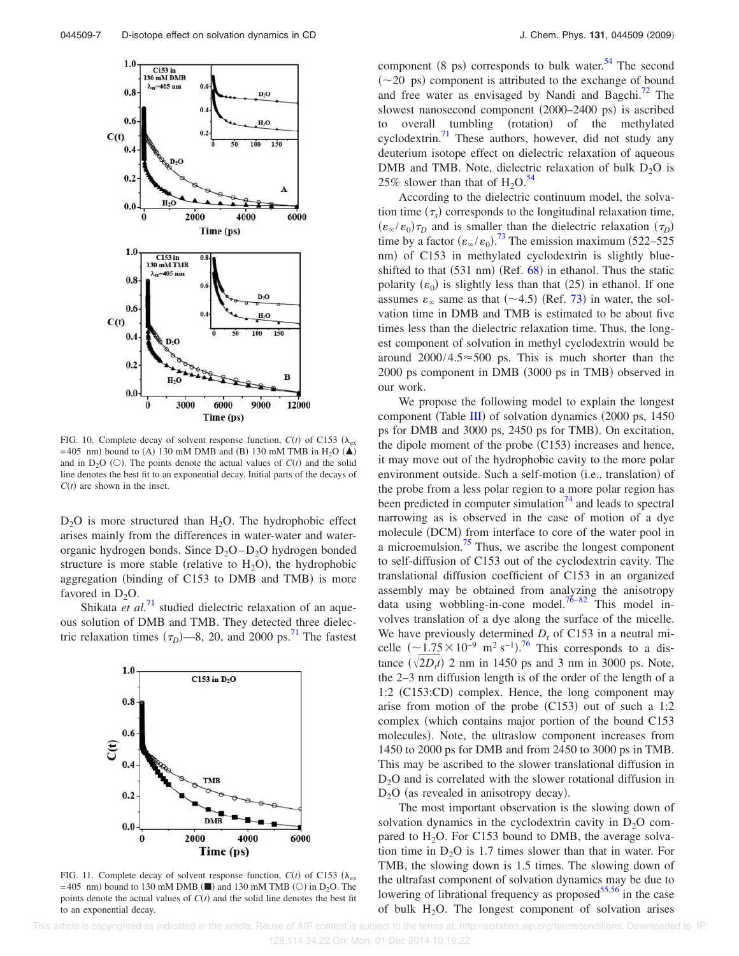

FIG. 10. Complete decay of solvent response function,  $C(t)$  of C153 ( $\lambda_{\text{ex}}$ ) =405 nm) bound to (A) 130 mM DMB and (B) 130 mM TMB in H<sub>2</sub>O ( $\blacktriangle$ ) and in  $D_2O$  (O). The points denote the actual values of  $C(t)$  and the solid line denotes the best fit to an exponential decay. Initial parts of the decays of  $C(t)$  are shown in the inset.

 $D_2O$  is more structured than  $H_2O$ . The hydrophobic effect arises mainly from the differences in water-water and waterorganic hydrogen bonds. Since  $D_2O-D_2O$  hydrogen bonded structure is more stable (relative to  $H_2O$ ), the hydrophobic aggregation (binding of C153 to DMB and TMB) is more favored in  $D_2O$ .

Shikata *et al.*<sup>71</sup> studied dielectric relaxation of an aqueous solution of DMB and TMB. They detected three dielectric relaxation times  $(\tau_D)$ —8, 20, and 2000 ps.<sup>71</sup> The fastest



FIG. 11. Complete decay of solvent response function,  $C(t)$  of C153 ( $\lambda_{\text{ex}}$ )  $=$  405 nm) bound to 130 mM DMB ( $\blacksquare$ ) and 130 mM TMB ( $\bigcirc$ ) in D<sub>2</sub>O. The points denote the actual values of  $C(t)$  and the solid line denotes the best fit to an exponential decay.

component (8 ps) corresponds to bulk water.<sup>54</sup> The second  $(\sim 20 \text{ ps})$  component is attributed to the exchange of bound and free water as envisaged by Nandi and Bagchi. $^{72}$  The slowest nanosecond component (2000–2400 ps) is ascribed to overall tumbling (rotation) of the methylated cyclodextrin. $^{71}$  These authors, however, did not study any deuterium isotope effect on dielectric relaxation of aqueous DMB and TMB. Note, dielectric relaxation of bulk  $D_2O$  is 25% slower than that of  $H_2O^{34}$ .

According to the dielectric continuum model, the solvation time  $(\tau_s)$  corresponds to the longitudinal relaxation time,  $(\epsilon_{\infty}/\epsilon_0)\tau_D$  and is smaller than the dielectric relaxation  $(\tau_D)$ time by a factor  $(\epsilon_{\infty}/\epsilon_0)$ .<sup>73</sup> The emission maximum (522–525) nm) of C153 in methylated cyclodextrin is slightly blueshifted to that  $(531 \text{ nm})$  (Ref.  $68$ ) in ethanol. Thus the static polarity  $(\varepsilon_0)$  is slightly less than that (25) in ethanol. If one assumes  $\varepsilon_{\infty}$  same as that  $(\sim 4.5)$  (Ref. 73) in water, the solvation time in DMB and TMB is estimated to be about five times less than the dielectric relaxation time. Thus, the longest component of solvation in methyl cyclodextrin would be around  $2000/4.5 \approx 500$  ps. This is much shorter than the 2000 ps component in DMB (3000 ps in TMB) observed in our work.

We propose the following model to explain the longest component (Table III) of solvation dynamics (2000 ps, 1450 ps for DMB and 3000 ps, 2450 ps for TMB). On excitation, the dipole moment of the probe  $(C153)$  increases and hence, it may move out of the hydrophobic cavity to the more polar environment outside. Such a self-motion (i.e., translation) of the probe from a less polar region to a more polar region has been predicted in computer simulation<sup>74</sup> and leads to spectral narrowing as is observed in the case of motion of a dye molecule (DCM) from interface to core of the water pool in a microemulsion.<sup>75</sup> Thus, we ascribe the longest component to self-diffusion of C153 out of the cyclodextrin cavity. The translational diffusion coefficient of C153 in an organized assembly may be obtained from analyzing the anisotropy data using wobbling-in-cone model.<sup>76–82</sup> This model involves translation of a dye along the surface of the micelle. We have previously determined  $D_t$  of C153 in a neutral micelle  $({\sim}1.75\times10^{-9}~\mathrm{m}^2\mathrm{~s}^{-1})$ .<sup>76</sup> This corresponds to a distance  $(\sqrt{2D_t t})$  2 nm in 1450 ps and 3 nm in 3000 ps. Note, the 2–3 nm diffusion length is of the order of the length of a 1:2 (C153:CD) complex. Hence, the long component may arise from motion of the probe  $(C153)$  out of such a 1:2 complex (which contains major portion of the bound C153 molecules). Note, the ultraslow component increases from 1450 to 2000 ps for DMB and from 2450 to 3000 ps in TMB. This may be ascribed to the slower translational diffusion in  $D<sub>2</sub>O$  and is correlated with the slower rotational diffusion in  $D_2O$  (as revealed in anisotropy decay).

The most important observation is the slowing down of solvation dynamics in the cyclodextrin cavity in  $D_2O$  compared to  $H_2O$ . For C153 bound to DMB, the average solvation time in  $D_2O$  is 1.7 times slower than that in water. For TMB, the slowing down is 1.5 times. The slowing down of the ultrafast component of solvation dynamics may be due to lowering of librational frequency as proposed $55,56$  in the case of bulk  $H_2O$ . The longest component of solvation arises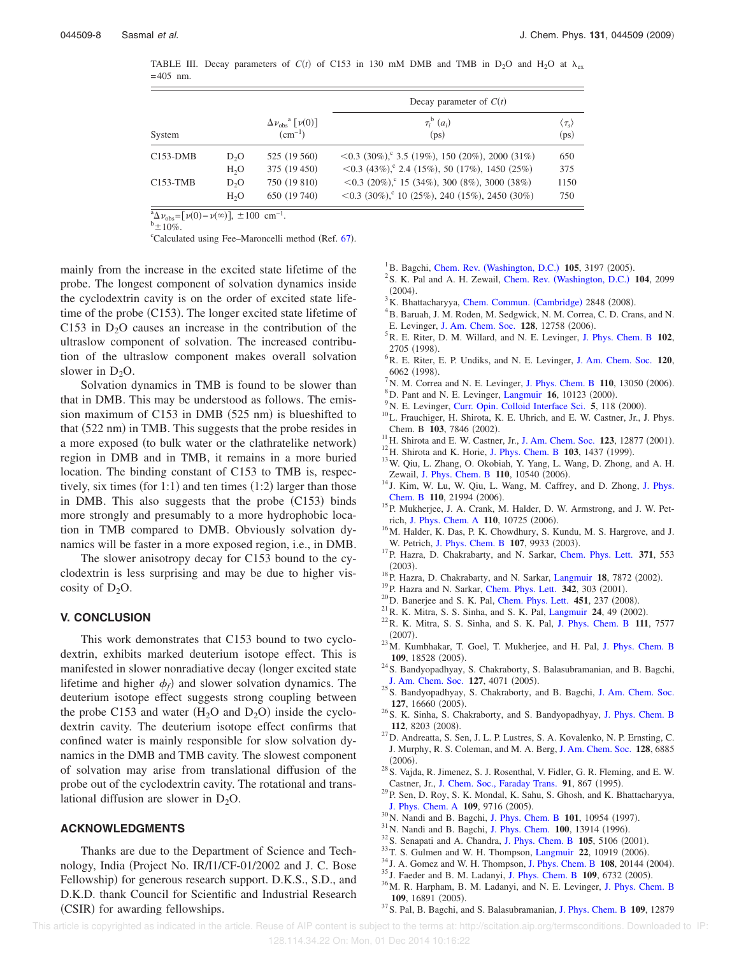TABLE III. Decay parameters of  $C(t)$  of C153 in 130 mM DMB and TMB in D<sub>2</sub>O and H<sub>2</sub>O at  $\lambda_{ex}$  $=405$  nm.

|            |                  |                                                               | Decay parameter of $C(t)$                                   |      |  |
|------------|------------------|---------------------------------------------------------------|-------------------------------------------------------------|------|--|
| System     |                  | $\Delta \nu_{\rm obs}$ <sup>a</sup> $[\nu(0)]$<br>$(cm^{-1})$ | $\tau_i^{\mathrm{b}}(a_i)$<br>(p <sub>S</sub> )             |      |  |
| $C153-DMB$ | D <sub>2</sub> O | 525 (19 560)                                                  | $\langle 0.3 (30\%)$ , 3.5 (19%), 150 (20%), 2000 (31%)     | 650  |  |
|            | H <sub>2</sub> O | 375 (19 450)                                                  | $\leq$ 0.3 (43%), $\degree$ 2.4 (15%), 50 (17%), 1450 (25%) | 375  |  |
| C153-TMB   | D <sub>2</sub> O | 750 (19 810)                                                  | $\langle 0.3 (20\%)$ , 15 (34%), 300 (8%), 3000 (38%)       | 1150 |  |
|            | H <sub>2</sub> O | 650 (19 740)                                                  | $\leq$ 0.3 (30%), 10 (25%), 240 (15%), 2450 (30%)           | 750  |  |

 $\frac{a_0}{\Delta \nu_{\rm obs}} = [\nu(0) - \nu(\infty)], \pm 100 \text{ cm}^{-1}.$ 

 $b_{\pm 10\%}$ .

<sup>c</sup>Calculated using Fee-Maroncelli method (Ref. 67).

mainly from the increase in the excited state lifetime of the probe. The longest component of solvation dynamics inside the cyclodextrin cavity is on the order of excited state lifetime of the probe (C153). The longer excited state lifetime of C153 in  $D<sub>2</sub>O$  causes an increase in the contribution of the ultraslow component of solvation. The increased contribution of the ultraslow component makes overall solvation slower in  $D_2O$ .

Solvation dynamics in TMB is found to be slower than that in DMB. This may be understood as follows. The emission maximum of  $C153$  in DMB (525 nm) is blueshifted to that (522 nm) in TMB. This suggests that the probe resides in a more exposed (to bulk water or the clathratelike network) region in DMB and in TMB, it remains in a more buried location. The binding constant of C153 to TMB is, respectively, six times (for 1:1) and ten times  $(1:2)$  larger than those in DMB. This also suggests that the probe (C153) binds more strongly and presumably to a more hydrophobic location in TMB compared to DMB. Obviously solvation dynamics will be faster in a more exposed region, i.e., in DMB.

The slower anisotropy decay for C153 bound to the cyclodextrin is less surprising and may be due to higher viscosity of  $D_2O$ .

#### **V. CONCLUSION**

This work demonstrates that C153 bound to two cyclodextrin, exhibits marked deuterium isotope effect. This is manifested in slower nonradiative decay (longer excited state lifetime and higher  $\phi_f$ ) and slower solvation dynamics. The deuterium isotope effect suggests strong coupling between the probe C153 and water  $(H_2O \text{ and } D_2O)$  inside the cyclodextrin cavity. The deuterium isotope effect confirms that confined water is mainly responsible for slow solvation dynamics in the DMB and TMB cavity. The slowest component of solvation may arise from translational diffusion of the probe out of the cyclodextrin cavity. The rotational and translational diffusion are slower in  $D_2O$ .

#### **ACKNOWLEDGMENTS**

Thanks are due to the Department of Science and Technology, India (Project No. IR/I1/CF-01/2002 and J. C. Bose Fellowship) for generous research support. D.K.S., S.D., and D.K.D. thank Council for Scientific and Industrial Research (CSIR) for awarding fellowships.

- <sup>1</sup>B. Bagchi, Chem. Rev. (Washington, D.C.) 105, 3197 (2005).
- <sup>2</sup> S. K. Pal and A. H. Zewail, Chem. Rev. (Washington, D.C.) 104, 2099  $(2004).$
- <sup>3</sup>K. Bhattacharyya, Chem. Commun. (Cambridge) 2848 (2008).
- <sup>4</sup> B. Baruah, J. M. Roden, M. Sedgwick, N. M. Correa, C. D. Crans, and N.
- E. Levinger, J. Am. Chem. Soc. 128, 12758 (2006).
- <sup>5</sup>R. E. Riter, D. M. Willard, and N. E. Levinger, J. Phys. Chem. B **102**, 2705 (1998).
- <sup>6</sup>R. E. Riter, E. P. Undiks, and N. E. Levinger, J. Am. Chem. Soc. **120**, 6062 (1998).
- <sup>7</sup> N. M. Correa and N. E. Levinger, J. Phys. Chem. B  $110$ , 13050 (2006).
- ${}^{8}$ D. Pant and N. E. Levinger, Langmuir 16, 10123 (2000).
- <sup>9</sup> N. E. Levinger, Curr. Opin. Colloid Interface Sci. 5, 118 (2000).
- <sup>10</sup>L. Frauchiger, H. Shirota, K. E. Uhrich, and E. W. Castner, Jr., J. Phys. Chem. B 103, 7846 (2002).
- <sup>11</sup> H. Shirota and E. W. Castner, Jr., J. Am. Chem. Soc. 123, 12877 (2001).
- <sup>12</sup> H. Shirota and K. Horie, J. Phys. Chem. B **103**, 1437 (1999).
- <sup>13</sup>W. Qiu, L. Zhang, O. Okobiah, Y. Yang, L. Wang, D. Zhong, and A. H. Zewail, J. Phys. Chem. B 110, 10540 (2006).
- <sup>14</sup> J. Kim, W. Lu, W. Qiu, L. Wang, M. Caffrey, and D. Zhong, J. Phys. Chem. B 110, 21994 (2006).
- <sup>15</sup>P. Mukherjee, J. A. Crank, M. Halder, D. W. Armstrong, and J. W. Petrich, J. Phys. Chem. A 110, 10725 (2006).
- <sup>16</sup>M. Halder, K. Das, P. K. Chowdhury, S. Kundu, M. S. Hargrove, and J. W. Petrich, J. Phys. Chem. B 107, 9933 (2003).
- <sup>17</sup>P. Hazra, D. Chakrabarty, and N. Sarkar, Chem. Phys. Lett. **371**, 553  $(2003).$
- <sup>18</sup> P. Hazra, D. Chakrabarty, and N. Sarkar, Langmuir 18, 7872 (2002).
- <sup>19</sup> P. Hazra and N. Sarkar, Chem. Phys. Lett. **342**, 303 (2001).
- <sup>20</sup> D. Banerjee and S. K. Pal, Chem. Phys. Lett. **451**, 237 (2008).
- $^{21}$  R. K. Mitra, S. S. Sinha, and S. K. Pal, Langmuir 24, 49 (2002).
- <sup>22</sup>R. K. Mitra, S. S. Sinha, and S. K. Pal, J. Phys. Chem. B **111**, 7577  $(2007).$
- <sup>23</sup>M. Kumbhakar, T. Goel, T. Mukherjee, and H. Pal, J. Phys. Chem. B 109, 18528 (2005).
- <sup>24</sup> S. Bandyopadhyay, S. Chakraborty, S. Balasubramanian, and B. Bagchi, J. Am. Chem. Soc. 127, 4071 (2005).
- <sup>25</sup>S. Bandyopadhyay, S. Chakraborty, and B. Bagchi, J. Am. Chem. Soc. 127, 16660 (2005).
- <sup>26</sup>S. K. Sinha, S. Chakraborty, and S. Bandyopadhyay, J. Phys. Chem. B 112, 8203 (2008).
- <sup>27</sup>D. Andreatta, S. Sen, J. L. P. Lustres, S. A. Kovalenko, N. P. Ernsting, C. J. Murphy, R. S. Coleman, and M. A. Berg, J. Am. Chem. Soc. **128**, 6885  $(2006).$
- $^{28}$  S. Vajda, R. Jimenez, S. J. Rosenthal, V. Fidler, G. R. Fleming, and E. W. Castner, Jr., J. Chem. Soc., Faraday Trans. 91, 867 (1995).
- <sup>29</sup>P. Sen, D. Roy, S. K. Mondal, K. Sahu, S. Ghosh, and K. Bhattacharyya, J. Phys. Chem. A 109, 9716 (2005).
- <sup>30</sup> N. Nandi and B. Bagchi, J. Phys. Chem. B 101, 10954 (1997).
- <sup>31</sup> N. Nandi and B. Bagchi, J. Phys. Chem. **100**, 13914 (1996).
- $32$  S. Senapati and A. Chandra, J. Phys. Chem. B  $105$ , 5106 (2001).
- <sup>33</sup> T. S. Gulmen and W. H. Thompson, Langmuir 22, 10919 (2006).
- <sup>34</sup> J. A. Gomez and W. H. Thompson, J. Phys. Chem. B **108**, 20144 (2004).
- <sup>35</sup> J. Faeder and B. M. Ladanyi, J. Phys. Chem. B 109, 6732 (2005). <sup>36</sup> M. R. Harpham, B. M. Ladanyi, and N. E. Levinger, J. Phys. Chem. B 109, 16891 (2005).
- <sup>37</sup>S. Pal, B. Bagchi, and S. Balasubramanian, J. Phys. Chem. B **109**, 12879